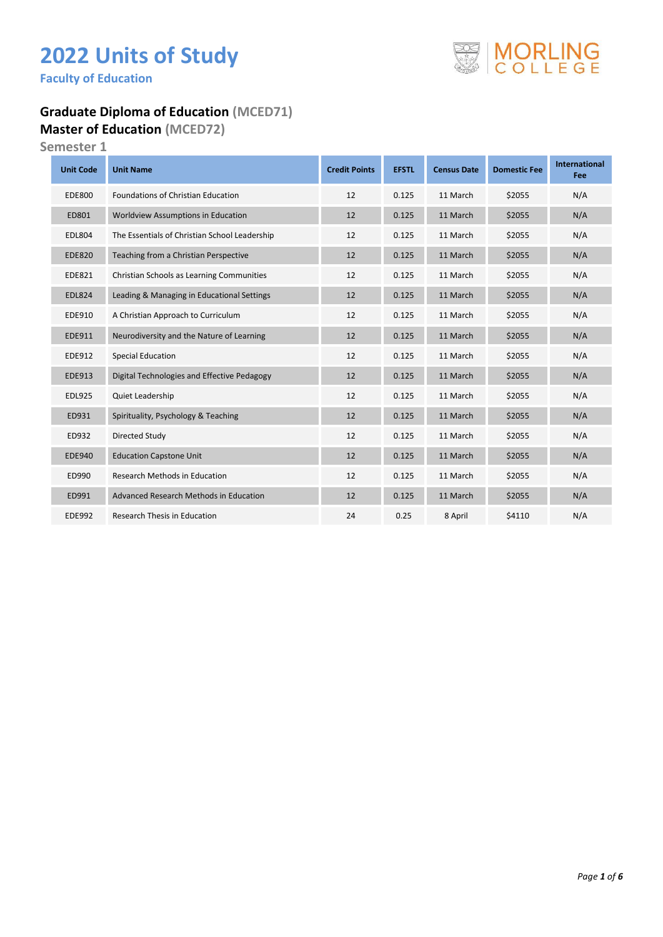# **2022 Units of Study**

**Faculty of Education** 

#### **Graduate Diploma of Education (MCED71) Master of Education (MCED72)**

**Semester 1**

| <b>Unit Code</b> | <b>Unit Name</b>                              | <b>Credit Points</b> | <b>EFSTL</b> | <b>Census Date</b> | <b>Domestic Fee</b> | <b>International</b><br>Fee |
|------------------|-----------------------------------------------|----------------------|--------------|--------------------|---------------------|-----------------------------|
| <b>EDE800</b>    | <b>Foundations of Christian Education</b>     | 12                   | 0.125        | 11 March           | \$2055              | N/A                         |
| ED801            | Worldview Assumptions in Education            | 12                   | 0.125        | 11 March           | \$2055              | N/A                         |
| <b>EDL804</b>    | The Essentials of Christian School Leadership | 12                   | 0.125        | 11 March           | \$2055              | N/A                         |
| <b>EDE820</b>    | Teaching from a Christian Perspective         | 12                   | 0.125        | 11 March           | \$2055              | N/A                         |
| <b>EDE821</b>    | Christian Schools as Learning Communities     | 12                   | 0.125        | 11 March           | \$2055              | N/A                         |
| <b>EDL824</b>    | Leading & Managing in Educational Settings    | 12                   | 0.125        | 11 March           | \$2055              | N/A                         |
| EDE910           | A Christian Approach to Curriculum            | 12                   | 0.125        | 11 March           | \$2055              | N/A                         |
| EDE911           | Neurodiversity and the Nature of Learning     | 12                   | 0.125        | 11 March           | \$2055              | N/A                         |
| EDE912           | <b>Special Education</b>                      | 12                   | 0.125        | 11 March           | \$2055              | N/A                         |
| EDE913           | Digital Technologies and Effective Pedagogy   | 12                   | 0.125        | 11 March           | \$2055              | N/A                         |
| <b>EDL925</b>    | Quiet Leadership                              | 12                   | 0.125        | 11 March           | \$2055              | N/A                         |
| ED931            | Spirituality, Psychology & Teaching           | 12                   | 0.125        | 11 March           | \$2055              | N/A                         |
| ED932            | Directed Study                                | 12                   | 0.125        | 11 March           | \$2055              | N/A                         |
| <b>EDE940</b>    | <b>Education Capstone Unit</b>                | 12                   | 0.125        | 11 March           | \$2055              | N/A                         |
| ED990            | <b>Research Methods in Education</b>          | 12                   | 0.125        | 11 March           | \$2055              | N/A                         |
| ED991            | Advanced Research Methods in Education        | 12                   | 0.125        | 11 March           | \$2055              | N/A                         |
| <b>EDE992</b>    | <b>Research Thesis in Education</b>           | 24                   | 0.25         | 8 April            | \$4110              | N/A                         |

#### *Page 1 of 6*

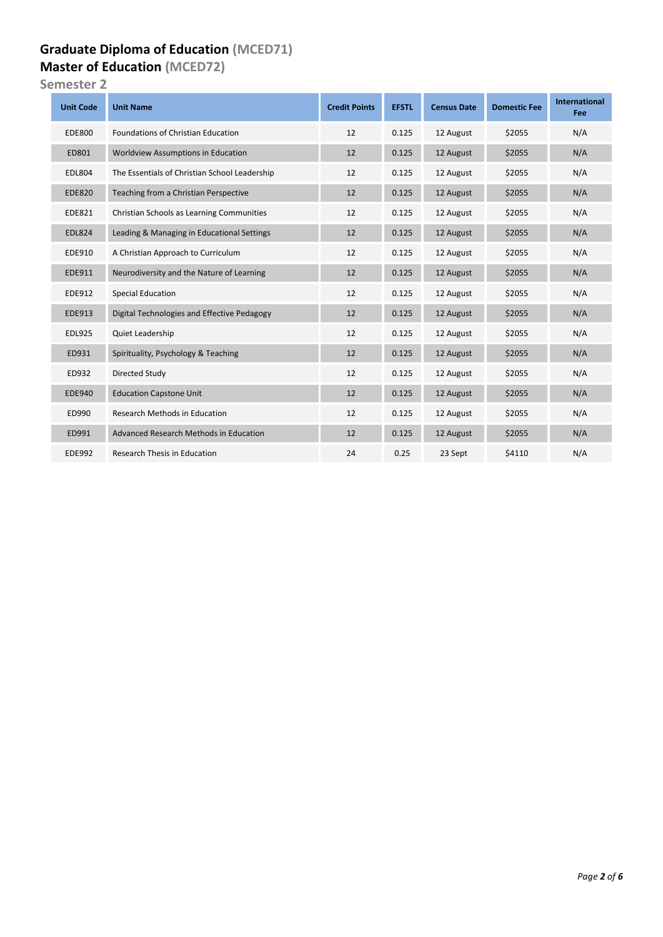#### **Graduate Diploma of Education (MCED71) Master of Education (MCED72)**

**Semester 2**

| <b>Unit Code</b> | <b>Unit Name</b>                              | <b>Credit Points</b> | <b>EFSTL</b> | <b>Census Date</b> | <b>Domestic Fee</b> | <b>International</b><br>Fee |
|------------------|-----------------------------------------------|----------------------|--------------|--------------------|---------------------|-----------------------------|
| <b>EDE800</b>    | <b>Foundations of Christian Education</b>     | 12                   | 0.125        | 12 August          | \$2055              | N/A                         |
| ED801            | <b>Worldview Assumptions in Education</b>     | 12                   | 0.125        | 12 August          | \$2055              | N/A                         |
| <b>EDL804</b>    | The Essentials of Christian School Leadership | 12                   | 0.125        | 12 August          | \$2055              | N/A                         |
| <b>EDE820</b>    | Teaching from a Christian Perspective         | 12                   | 0.125        | 12 August          | \$2055              | N/A                         |
| EDE821           | Christian Schools as Learning Communities     | 12                   | 0.125        | 12 August          | \$2055              | N/A                         |
| <b>EDL824</b>    | Leading & Managing in Educational Settings    | 12                   | 0.125        | 12 August          | \$2055              | N/A                         |
| EDE910           | A Christian Approach to Curriculum            | 12                   | 0.125        | 12 August          | \$2055              | N/A                         |
| EDE911           | Neurodiversity and the Nature of Learning     | 12                   | 0.125        | 12 August          | \$2055              | N/A                         |
| EDE912           | <b>Special Education</b>                      | 12                   | 0.125        | 12 August          | \$2055              | N/A                         |
| <b>EDE913</b>    | Digital Technologies and Effective Pedagogy   | 12                   | 0.125        | 12 August          | \$2055              | N/A                         |
| <b>EDL925</b>    | Quiet Leadership                              | 12                   | 0.125        | 12 August          | \$2055              | N/A                         |
| ED931            | Spirituality, Psychology & Teaching           | 12                   | 0.125        | 12 August          | \$2055              | N/A                         |
| ED932            | Directed Study                                | 12                   | 0.125        | 12 August          | \$2055              | N/A                         |
| <b>EDE940</b>    | <b>Education Capstone Unit</b>                | 12                   | 0.125        | 12 August          | \$2055              | N/A                         |
| ED990            | <b>Research Methods in Education</b>          | 12                   | 0.125        | 12 August          | \$2055              | N/A                         |
| ED991            | Advanced Research Methods in Education        | 12                   | 0.125        | 12 August          | \$2055              | N/A                         |
| <b>EDE992</b>    | <b>Research Thesis in Education</b>           | 24                   | 0.25         | 23 Sept            | \$4110              | N/A                         |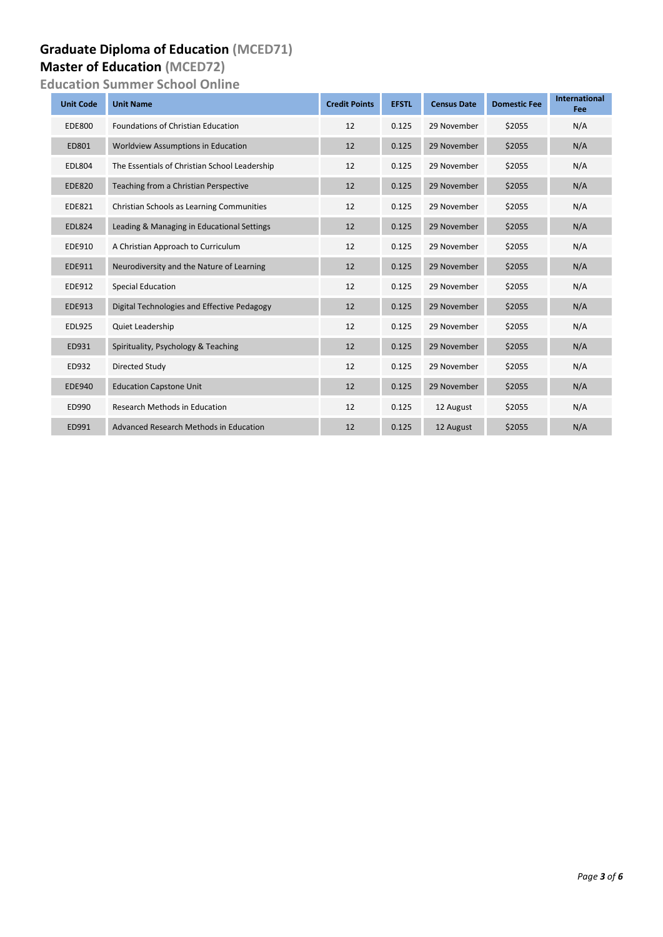### **Graduate Diploma of Education (MCED71)**

#### **Master of Education (MCED72)**

**Education Summer School Online**

| <b>Unit Code</b> | <b>Unit Name</b>                              | <b>Credit Points</b> | <b>EFSTL</b> | <b>Census Date</b> | <b>Domestic Fee</b> | <b>International</b><br>Fee |
|------------------|-----------------------------------------------|----------------------|--------------|--------------------|---------------------|-----------------------------|
| <b>EDE800</b>    | <b>Foundations of Christian Education</b>     | 12                   | 0.125        | 29 November        | \$2055              | N/A                         |
| ED801            | <b>Worldview Assumptions in Education</b>     | 12                   | 0.125        | 29 November        | \$2055              | N/A                         |
| <b>EDL804</b>    | The Essentials of Christian School Leadership | 12                   | 0.125        | 29 November        | \$2055              | N/A                         |
| <b>EDE820</b>    | Teaching from a Christian Perspective         | 12                   | 0.125        | 29 November        | \$2055              | N/A                         |
| <b>EDE821</b>    | Christian Schools as Learning Communities     | 12                   | 0.125        | 29 November        | \$2055              | N/A                         |
| <b>EDL824</b>    | Leading & Managing in Educational Settings    | 12                   | 0.125        | 29 November        | \$2055              | N/A                         |
| EDE910           | A Christian Approach to Curriculum            | 12                   | 0.125        | 29 November        | \$2055              | N/A                         |
| EDE911           | Neurodiversity and the Nature of Learning     | 12                   | 0.125        | 29 November        | \$2055              | N/A                         |
| EDE912           | <b>Special Education</b>                      | 12                   | 0.125        | 29 November        | \$2055              | N/A                         |
| <b>EDE913</b>    | Digital Technologies and Effective Pedagogy   | 12                   | 0.125        | 29 November        | \$2055              | N/A                         |
| <b>EDL925</b>    | <b>Quiet Leadership</b>                       | 12                   | 0.125        | 29 November        | \$2055              | N/A                         |
| ED931            | Spirituality, Psychology & Teaching           | 12                   | 0.125        | 29 November        | \$2055              | N/A                         |
| ED932            | Directed Study                                | 12                   | 0.125        | 29 November        | \$2055              | N/A                         |
| <b>EDE940</b>    | <b>Education Capstone Unit</b>                | 12                   | 0.125        | 29 November        | \$2055              | N/A                         |
| ED990            | <b>Research Methods in Education</b>          | 12                   | 0.125        | 12 August          | \$2055              | N/A                         |
| ED991            | Advanced Research Methods in Education        | 12                   | 0.125        | 12 August          | \$2055              | N/A                         |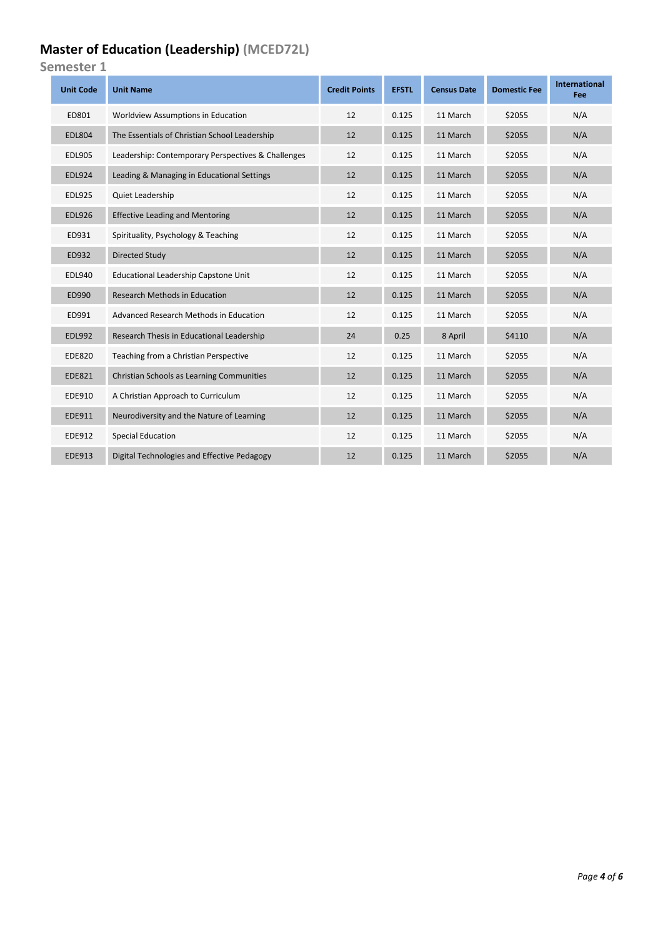## **Master of Education (Leadership) (MCED72L)**

**Semester 1**

| <b>Unit Code</b> | <b>Unit Name</b>                                   | <b>Credit Points</b> | <b>EFSTL</b> | <b>Census Date</b> | <b>Domestic Fee</b> | International<br>Fee |
|------------------|----------------------------------------------------|----------------------|--------------|--------------------|---------------------|----------------------|
| ED801            | Worldview Assumptions in Education                 | 12                   | 0.125        | 11 March           | \$2055              | N/A                  |
| <b>EDL804</b>    | The Essentials of Christian School Leadership      | 12                   | 0.125        | 11 March           | \$2055              | N/A                  |
| <b>EDL905</b>    | Leadership: Contemporary Perspectives & Challenges | 12                   | 0.125        | 11 March           | \$2055              | N/A                  |
| <b>EDL924</b>    | Leading & Managing in Educational Settings         | 12                   | 0.125        | 11 March           | \$2055              | N/A                  |
| <b>EDL925</b>    | Quiet Leadership                                   | 12                   | 0.125        | 11 March           | \$2055              | N/A                  |
| <b>EDL926</b>    | <b>Effective Leading and Mentoring</b>             | 12                   | 0.125        | 11 March           | \$2055              | N/A                  |
| ED931            | Spirituality, Psychology & Teaching                | 12                   | 0.125        | 11 March           | \$2055              | N/A                  |
| ED932            | Directed Study                                     | 12                   | 0.125        | 11 March           | \$2055              | N/A                  |
| <b>EDL940</b>    | Educational Leadership Capstone Unit               | 12                   | 0.125        | 11 March           | \$2055              | N/A                  |
| ED990            | <b>Research Methods in Education</b>               | 12                   | 0.125        | 11 March           | \$2055              | N/A                  |
| ED991            | Advanced Research Methods in Education             | 12                   | 0.125        | 11 March           | \$2055              | N/A                  |
| <b>EDL992</b>    | Research Thesis in Educational Leadership          | 24                   | 0.25         | 8 April            | \$4110              | N/A                  |
| <b>EDE820</b>    | Teaching from a Christian Perspective              | 12                   | 0.125        | 11 March           | \$2055              | N/A                  |
| <b>EDE821</b>    | Christian Schools as Learning Communities          | 12                   | 0.125        | 11 March           | \$2055              | N/A                  |
| EDE910           | A Christian Approach to Curriculum                 | 12                   | 0.125        | 11 March           | \$2055              | N/A                  |
| EDE911           | Neurodiversity and the Nature of Learning          | 12                   | 0.125        | 11 March           | \$2055              | N/A                  |
| EDE912           | Special Education                                  | 12                   | 0.125        | 11 March           | \$2055              | N/A                  |
| EDE913           | Digital Technologies and Effective Pedagogy        | 12                   | 0.125        | 11 March           | \$2055              | N/A                  |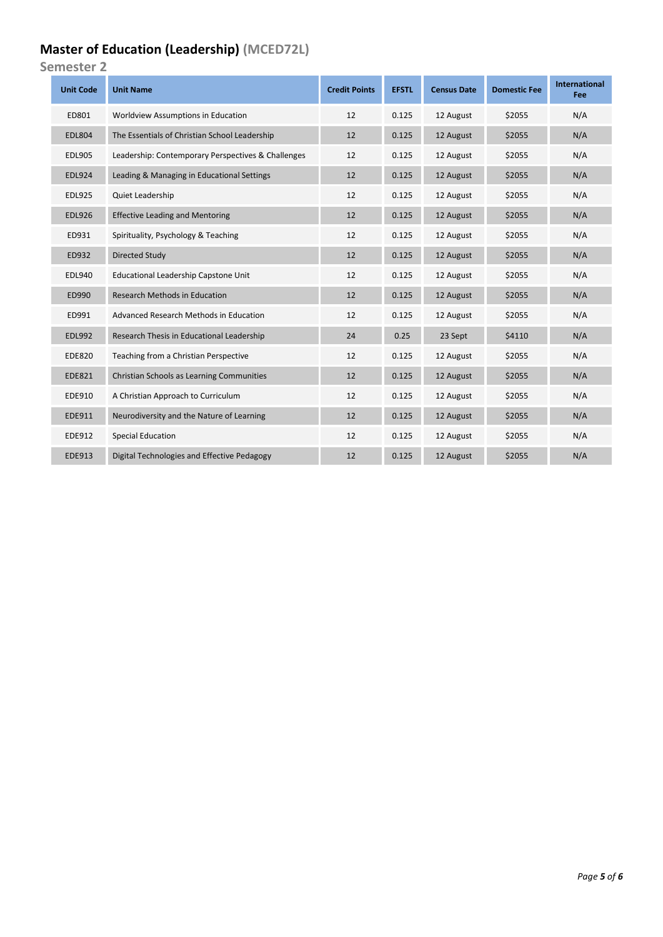## **Master of Education (Leadership) (MCED72L)**

**Semester 2**

| <b>Unit Code</b> | <b>Unit Name</b>                                   | <b>Credit Points</b> | <b>EFSTL</b> | <b>Census Date</b> | <b>Domestic Fee</b> | International<br>Fee |
|------------------|----------------------------------------------------|----------------------|--------------|--------------------|---------------------|----------------------|
| ED801            | Worldview Assumptions in Education                 | 12                   | 0.125        | 12 August          | \$2055              | N/A                  |
| <b>EDL804</b>    | The Essentials of Christian School Leadership      | 12                   | 0.125        | 12 August          | \$2055              | N/A                  |
| <b>EDL905</b>    | Leadership: Contemporary Perspectives & Challenges | 12                   | 0.125        | 12 August          | \$2055              | N/A                  |
| <b>EDL924</b>    | Leading & Managing in Educational Settings         | 12                   | 0.125        | 12 August          | \$2055              | N/A                  |
| <b>EDL925</b>    | Quiet Leadership                                   | 12                   | 0.125        | 12 August          | \$2055              | N/A                  |
| <b>EDL926</b>    | <b>Effective Leading and Mentoring</b>             | 12                   | 0.125        | 12 August          | \$2055              | N/A                  |
| ED931            | Spirituality, Psychology & Teaching                | 12                   | 0.125        | 12 August          | \$2055              | N/A                  |
| ED932            | Directed Study                                     | 12                   | 0.125        | 12 August          | \$2055              | N/A                  |
| <b>EDL940</b>    | <b>Educational Leadership Capstone Unit</b>        | 12                   | 0.125        | 12 August          | \$2055              | N/A                  |
| ED990            | <b>Research Methods in Education</b>               | 12                   | 0.125        | 12 August          | \$2055              | N/A                  |
| ED991            | Advanced Research Methods in Education             | 12                   | 0.125        | 12 August          | \$2055              | N/A                  |
| <b>EDL992</b>    | Research Thesis in Educational Leadership          | 24                   | 0.25         | 23 Sept            | \$4110              | N/A                  |
| <b>EDE820</b>    | Teaching from a Christian Perspective              | 12                   | 0.125        | 12 August          | \$2055              | N/A                  |
| <b>EDE821</b>    | Christian Schools as Learning Communities          | 12                   | 0.125        | 12 August          | \$2055              | N/A                  |
| EDE910           | A Christian Approach to Curriculum                 | 12                   | 0.125        | 12 August          | \$2055              | N/A                  |
| EDE911           | Neurodiversity and the Nature of Learning          | 12                   | 0.125        | 12 August          | \$2055              | N/A                  |
| EDE912           | <b>Special Education</b>                           | 12                   | 0.125        | 12 August          | \$2055              | N/A                  |
| <b>EDE913</b>    | Digital Technologies and Effective Pedagogy        | 12                   | 0.125        | 12 August          | \$2055              | N/A                  |